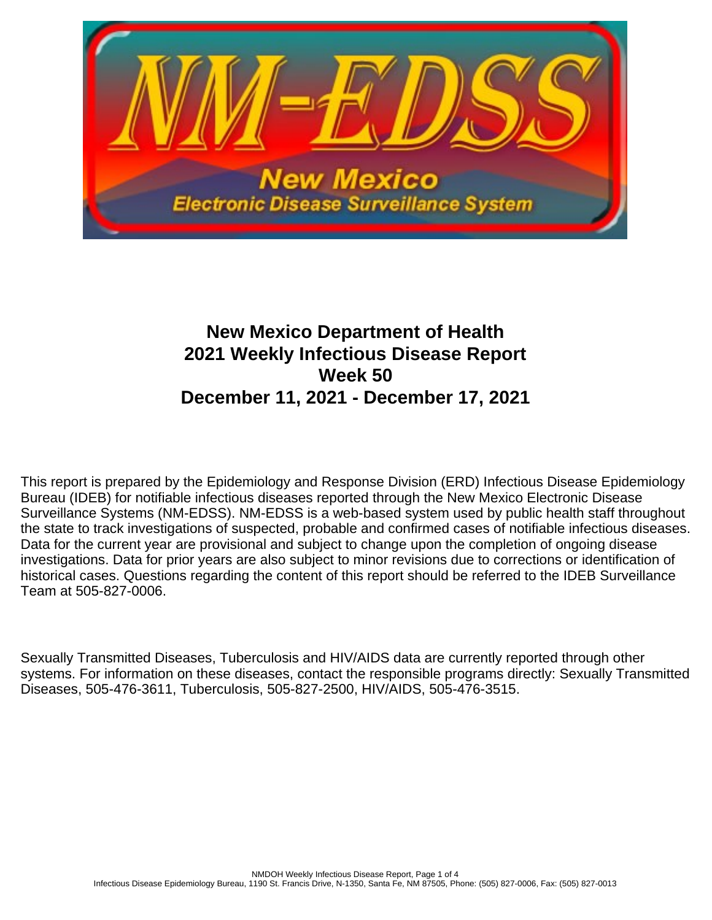

# **New Mexico Department of Health 2021 Weekly Infectious Disease Report Week 50 December 11, 2021 - December 17, 2021**

This report is prepared by the Epidemiology and Response Division (ERD) Infectious Disease Epidemiology Bureau (IDEB) for notifiable infectious diseases reported through the New Mexico Electronic Disease Surveillance Systems (NM-EDSS). NM-EDSS is a web-based system used by public health staff throughout the state to track investigations of suspected, probable and confirmed cases of notifiable infectious diseases. Data for the current year are provisional and subject to change upon the completion of ongoing disease investigations. Data for prior years are also subject to minor revisions due to corrections or identification of historical cases. Questions regarding the content of this report should be referred to the IDEB Surveillance Team at 505-827-0006.

Sexually Transmitted Diseases, Tuberculosis and HIV/AIDS data are currently reported through other systems. For information on these diseases, contact the responsible programs directly: Sexually Transmitted Diseases, 505-476-3611, Tuberculosis, 505-827-2500, HIV/AIDS, 505-476-3515.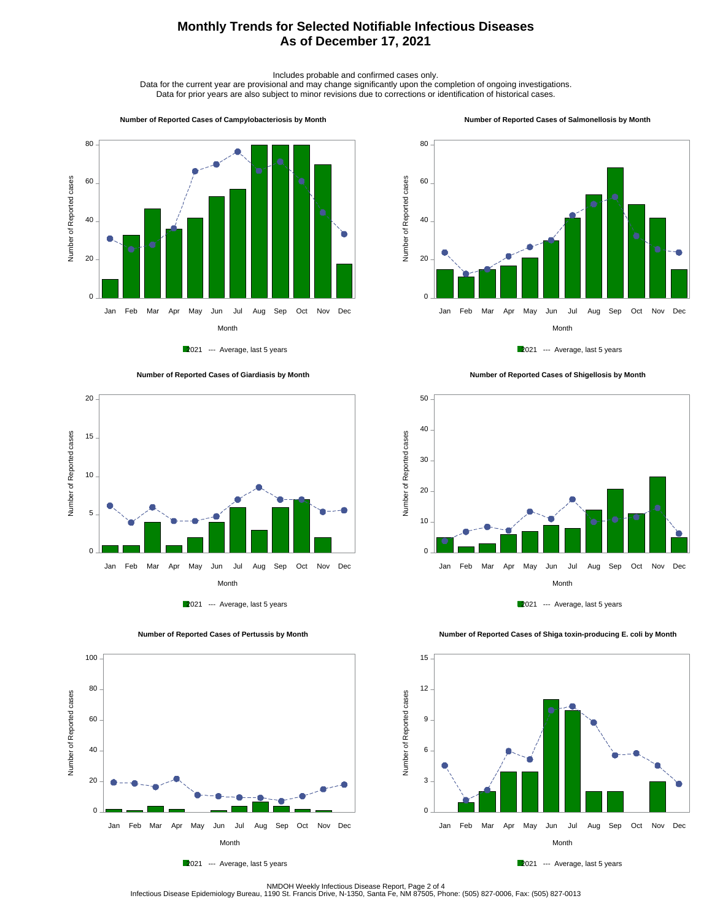## **Monthly Trends for Selected Notifiable Infectious Diseases As of December 17, 2021**

Includes probable and confirmed cases only.

Data for the current year are provisional and may change significantly upon the completion of ongoing investigations. Data for prior years are also subject to minor revisions due to corrections or identification of historical cases.

80

#### **Number of Reported Cases of Campylobacteriosis by Month**



2021 --- Average, last 5 years





 **Number of Reported Cases of Pertussis by Month**



 **Number of Reported Cases of Salmonellosis by Month**















2021 --- Average, last 5 years

NMDOH Weekly Infectious Disease Report, Page 2 of 4<br>Infectious Disease Epidemiology Bureau, 1190 St. Francis Drive, N-1350, Santa Fe, NM 87505, Phone: (505) 827-0006, Fax: (505) 827-0013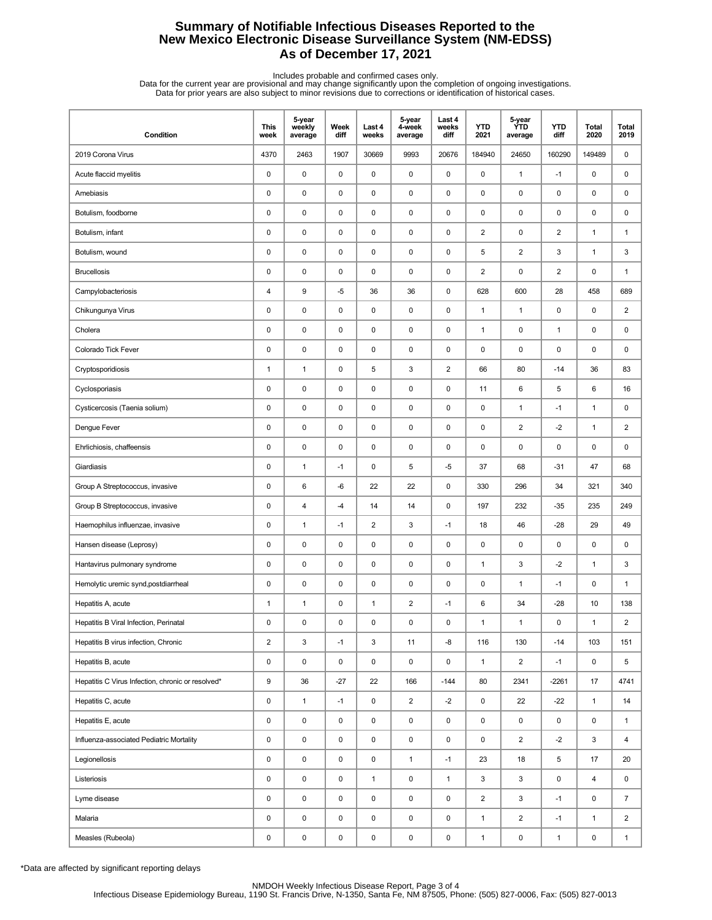## **Summary of Notifiable Infectious Diseases Reported to the New Mexico Electronic Disease Surveillance System (NM-EDSS) As of December 17, 2021**

Includes probable and confirmed cases only.<br>Data for the current year are provisional and may change significantly upon the completion of ongoing investigations.<br>Data for prior years are also subject to minor revisions due

| Condition                                         | <b>This</b><br>week     | 5-year<br>weekly<br>average | Week<br>diff | Last 4<br>weeks | 5-year<br>4-week<br>average | Last 4<br>weeks<br>diff | <b>YTD</b><br>2021      | 5-year<br><b>YTD</b><br>average | <b>YTD</b><br>diff | Total<br>2020 | Total<br>2019  |
|---------------------------------------------------|-------------------------|-----------------------------|--------------|-----------------|-----------------------------|-------------------------|-------------------------|---------------------------------|--------------------|---------------|----------------|
| 2019 Corona Virus                                 | 4370                    | 2463                        | 1907         | 30669           | 9993                        | 20676                   | 184940                  | 24650                           | 160290             | 149489        | 0              |
| Acute flaccid myelitis                            | 0                       | $\pmb{0}$                   | $\mathsf 0$  | $\mathbf 0$     | $\mathsf 0$                 | $\mathsf 0$             | $\pmb{0}$               | $\mathbf{1}$                    | $-1$               | 0             | 0              |
| Amebiasis                                         | 0                       | $\pmb{0}$                   | 0            | $\mathbf 0$     | 0                           | 0                       | 0                       | $\pmb{0}$                       | 0                  | 0             | 0              |
| Botulism, foodborne                               | 0                       | $\pmb{0}$                   | 0            | $\mathbf 0$     | $\pmb{0}$                   | 0                       | 0                       | 0                               | 0                  | 0             | 0              |
| Botulism, infant                                  | 0                       | $\pmb{0}$                   | 0            | $\mathbf 0$     | $\pmb{0}$                   | $\mathsf 0$             | $\overline{2}$          | $\pmb{0}$                       | $\overline{2}$     | $\mathbf{1}$  | $\mathbf{1}$   |
| Botulism, wound                                   | 0                       | $\pmb{0}$                   | 0            | $\mathbf 0$     | $\pmb{0}$                   | $\mathsf 0$             | 5                       | $\overline{2}$                  | 3                  | $\mathbf{1}$  | 3              |
| <b>Brucellosis</b>                                | 0                       | $\pmb{0}$                   | $\mathsf 0$  | $\mathbf 0$     | $\pmb{0}$                   | $\mathsf 0$             | $\overline{\mathbf{c}}$ | 0                               | 2                  | 0             | $\mathbf{1}$   |
| Campylobacteriosis                                | 4                       | 9                           | $-5$         | 36              | 36                          | 0                       | 628                     | 600                             | 28                 | 458           | 689            |
| Chikungunya Virus                                 | 0                       | $\pmb{0}$                   | 0            | $\mathbf 0$     | $\pmb{0}$                   | 0                       | $\mathbf{1}$            | $\mathbf{1}$                    | 0                  | 0             | 2              |
| Cholera                                           | 0                       | $\pmb{0}$                   | 0            | $\mathbf 0$     | $\pmb{0}$                   | $\mathsf 0$             | $\mathbf{1}$            | $\pmb{0}$                       | $\mathbf{1}$       | 0             | 0              |
| Colorado Tick Fever                               | $\pmb{0}$               | $\pmb{0}$                   | 0            | $\mathbf 0$     | $\pmb{0}$                   | $\mathsf 0$             | 0                       | $\pmb{0}$                       | 0                  | 0             | 0              |
| Cryptosporidiosis                                 | $\mathbf{1}$            | $\mathbf{1}$                | $\mathsf 0$  | $\sqrt{5}$      | 3                           | $\overline{2}$          | 66                      | 80                              | $-14$              | 36            | 83             |
| Cyclosporiasis                                    | 0                       | $\pmb{0}$                   | 0            | $\mathbf 0$     | 0                           | 0                       | 11                      | 6                               | 5                  | 6             | 16             |
| Cysticercosis (Taenia solium)                     | 0                       | $\pmb{0}$                   | 0            | $\mathbf 0$     | $\pmb{0}$                   | 0                       | 0                       | $\mathbf{1}$                    | $-1$               | $\mathbf{1}$  | 0              |
| Dengue Fever                                      | 0                       | $\pmb{0}$                   | 0            | $\mathbf 0$     | $\pmb{0}$                   | 0                       | 0                       | $\overline{\mathbf{c}}$         | $-2$               | $\mathbf{1}$  | $\overline{c}$ |
| Ehrlichiosis, chaffeensis                         | 0                       | $\pmb{0}$                   | 0            | $\mathbf 0$     | $\pmb{0}$                   | 0                       | 0                       | $\pmb{0}$                       | 0                  | 0             | 0              |
| Giardiasis                                        | $\pmb{0}$               | $\mathbf{1}$                | $-1$         | $\mathbf 0$     | 5                           | $-5$                    | 37                      | 68                              | $-31$              | 47            | 68             |
| Group A Streptococcus, invasive                   | 0                       | 6                           | -6           | 22              | 22                          | 0                       | 330                     | 296                             | 34                 | 321           | 340            |
| Group B Streptococcus, invasive                   | 0                       | $\overline{4}$              | $-4$         | 14              | 14                          | 0                       | 197                     | 232                             | $-35$              | 235           | 249            |
| Haemophilus influenzae, invasive                  | 0                       | $\mathbf{1}$                | $-1$         | $\overline{2}$  | 3                           | $-1$                    | 18                      | 46                              | $-28$              | 29            | 49             |
| Hansen disease (Leprosy)                          | 0                       | $\mathbf 0$                 | 0            | $\mathbf 0$     | 0                           | $\mathsf 0$             | 0                       | $\pmb{0}$                       | 0                  | 0             | 0              |
| Hantavirus pulmonary syndrome                     | $\pmb{0}$               | $\pmb{0}$                   | $\mathsf 0$  | $\pmb{0}$       | $\pmb{0}$                   | $\mathsf 0$             | $\mathbf{1}$            | 3                               | $-2$               | $\mathbf{1}$  | 3              |
| Hemolytic uremic synd, postdiarrheal              | 0                       | $\pmb{0}$                   | 0            | $\mathbf 0$     | 0                           | 0                       | 0                       | $\mathbf{1}$                    | $-1$               | 0             | $\mathbf{1}$   |
| Hepatitis A, acute                                | 1                       | $\mathbf{1}$                | 0            | $\mathbf{1}$    | 2                           | $-1$                    | 6                       | 34                              | $-28$              | 10            | 138            |
| Hepatitis B Viral Infection, Perinatal            | 0                       | $\mathbf 0$                 | $\pmb{0}$    | $\mathbf 0$     | 0                           | 0                       | $\mathbf{1}$            | 1                               | 0                  | $\mathbf{1}$  | $\overline{2}$ |
| Hepatitis B virus infection, Chronic              | $\overline{\mathbf{c}}$ | $\mathsf 3$                 | $-1$         | 3               | 11                          | -8                      | 116                     | 130                             | $-14$              | 103           | 151            |
| Hepatitis B, acute                                | 0                       | $\pmb{0}$                   | $\pmb{0}$    | $\mathsf 0$     | 0                           | $\pmb{0}$               | $\mathbf{1}$            | $\overline{\mathbf{c}}$         | $-1$               | 0             | 5              |
| Hepatitis C Virus Infection, chronic or resolved* | 9                       | 36                          | $-27$        | 22              | 166                         | $-144$                  | 80                      | 2341                            | $-2261$            | 17            | 4741           |
| Hepatitis C, acute                                | 0                       | $\mathbf{1}$                | $-1$         | 0               | $\overline{2}$              | $-2$                    | 0                       | 22                              | $-22$              | $\mathbf{1}$  | 14             |
| Hepatitis E, acute                                | 0                       | $\pmb{0}$                   | 0            | 0               | 0                           | 0                       | 0                       | 0                               | 0                  | 0             | $\mathbf{1}$   |
| Influenza-associated Pediatric Mortality          | 0                       | $\pmb{0}$                   | $\mathsf 0$  | $\pmb{0}$       | 0                           | $\mathsf 0$             | 0                       | $\overline{a}$                  | $-2$               | 3             | 4              |
| Legionellosis                                     | 0                       | $\pmb{0}$                   | $\pmb{0}$    | $\mathsf 0$     | $\mathbf{1}$                | $-1$                    | 23                      | 18                              | 5                  | 17            | 20             |
| Listeriosis                                       | 0                       | $\pmb{0}$                   | $\pmb{0}$    | $\mathbf{1}$    | 0                           | $\mathbf{1}$            | 3                       | 3                               | 0                  | 4             | 0              |
| Lyme disease                                      | 0                       | $\pmb{0}$                   | 0            | $\pmb{0}$       | 0                           | 0                       | $\overline{2}$          | 3                               | $-1$               | 0             | $\overline{7}$ |
| Malaria                                           | 0                       | $\pmb{0}$                   | 0            | 0               | 0                           | 0                       | $\mathbf{1}$            | $\overline{2}$                  | $-1$               | $\mathbf{1}$  | $\overline{2}$ |
| Measles (Rubeola)                                 | 0                       | $\pmb{0}$                   | 0            | $\pmb{0}$       | 0                           | $\pmb{0}$               | $\mathbf{1}$            | 0                               | $\mathbf{1}$       | 0             | $\mathbf{1}$   |

\*Data are affected by significant reporting delays